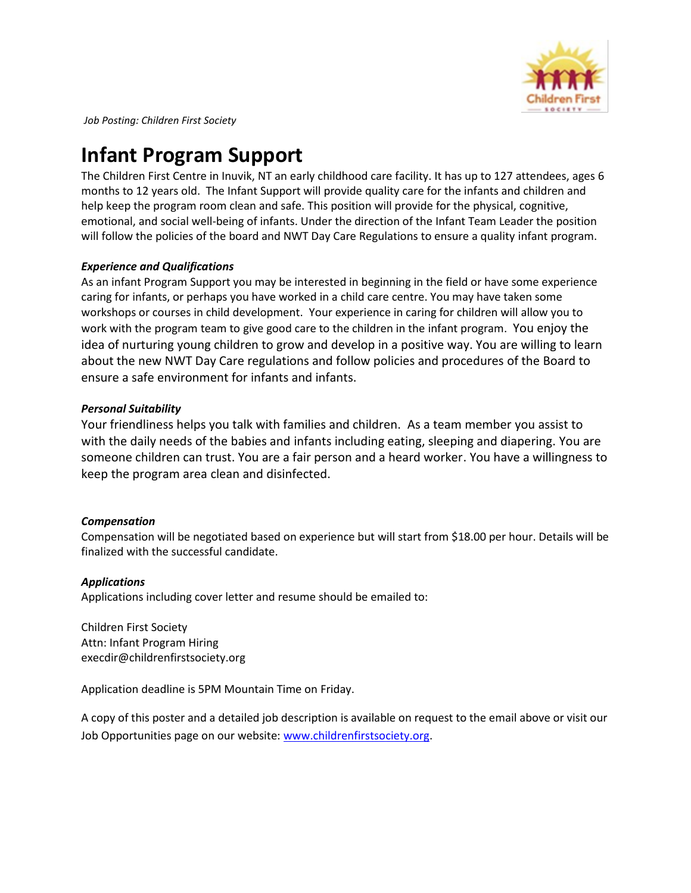

*Job Posting: Children First Society* 

# **Infant Program Support**

The Children First Centre in Inuvik, NT an early childhood care facility. It has up to 127 attendees, ages 6 months to 12 years old. The Infant Support will provide quality care for the infants and children and help keep the program room clean and safe. This position will provide for the physical, cognitive, emotional, and social well-being of infants. Under the direction of the Infant Team Leader the position will follow the policies of the board and NWT Day Care Regulations to ensure a quality infant program.

# *Experience and Qualifications*

As an infant Program Support you may be interested in beginning in the field or have some experience caring for infants, or perhaps you have worked in a child care centre. You may have taken some workshops or courses in child development. Your experience in caring for children will allow you to work with the program team to give good care to the children in the infant program. You enjoy the idea of nurturing young children to grow and develop in a positive way. You are willing to learn about the new NWT Day Care regulations and follow policies and procedures of the Board to ensure a safe environment for infants and infants.

## *Personal Suitability*

Your friendliness helps you talk with families and children. As a team member you assist to with the daily needs of the babies and infants including eating, sleeping and diapering. You are someone children can trust. You are a fair person and a heard worker. You have a willingness to keep the program area clean and disinfected.

## *Compensation*

Compensation will be negotiated based on experience but will start from \$18.00 per hour. Details will be finalized with the successful candidate.

## *Applications*

Applications including cover letter and resume should be emailed to:

Children First Society Attn: Infant Program Hiring execdir@childrenfirstsociety.org

Application deadline is 5PM Mountain Time on Friday.

A copy of this poster and a detailed job description is available on request to the email above or visit our Job Opportunities page on our website: [www.childrenfirstsociety.org.](http://www.childrenfirstsociety.org/)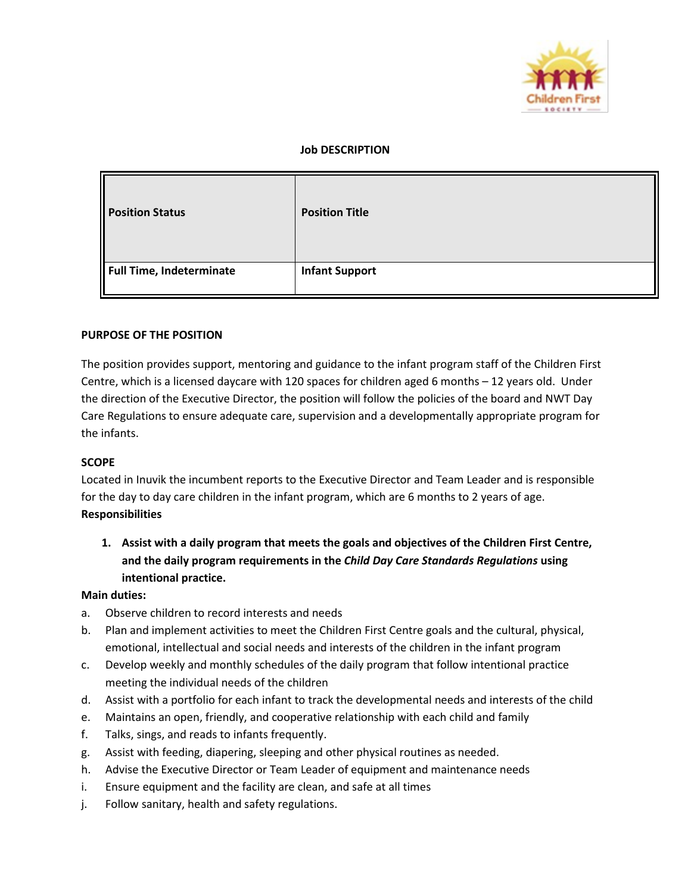

### **Job DESCRIPTION**

| <b>Position Status</b>          | <b>Position Title</b> |
|---------------------------------|-----------------------|
| <b>Full Time, Indeterminate</b> | <b>Infant Support</b> |

## **PURPOSE OF THE POSITION**

The position provides support, mentoring and guidance to the infant program staff of the Children First Centre, which is a licensed daycare with 120 spaces for children aged 6 months – 12 years old. Under the direction of the Executive Director, the position will follow the policies of the board and NWT Day Care Regulations to ensure adequate care, supervision and a developmentally appropriate program for the infants.

#### **SCOPE**

Located in Inuvik the incumbent reports to the Executive Director and Team Leader and is responsible for the day to day care children in the infant program, which are 6 months to 2 years of age. **Responsibilities**

**1. Assist with a daily program that meets the goals and objectives of the Children First Centre, and the daily program requirements in the** *Child Day Care Standards Regulations* **using intentional practice.** 

#### **Main duties:**

- a. Observe children to record interests and needs
- b. Plan and implement activities to meet the Children First Centre goals and the cultural, physical, emotional, intellectual and social needs and interests of the children in the infant program
- c. Develop weekly and monthly schedules of the daily program that follow intentional practice meeting the individual needs of the children
- d. Assist with a portfolio for each infant to track the developmental needs and interests of the child
- e. Maintains an open, friendly, and cooperative relationship with each child and family
- f. Talks, sings, and reads to infants frequently.
- g. Assist with feeding, diapering, sleeping and other physical routines as needed.
- h. Advise the Executive Director or Team Leader of equipment and maintenance needs
- i. Ensure equipment and the facility are clean, and safe at all times
- j. Follow sanitary, health and safety regulations.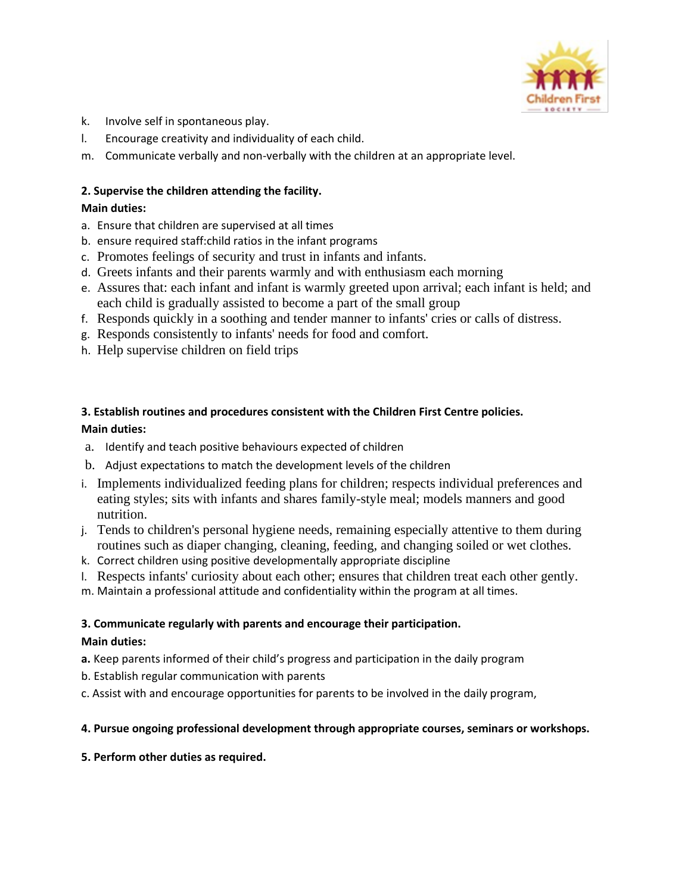

- k. Involve self in spontaneous play.
- l. Encourage creativity and individuality of each child.
- m. Communicate verbally and non-verbally with the children at an appropriate level.

# **2. Supervise the children attending the facility.**

# **Main duties:**

- a. Ensure that children are supervised at all times
- b. ensure required staff:child ratios in the infant programs
- c. Promotes feelings of security and trust in infants and infants.
- d. Greets infants and their parents warmly and with enthusiasm each morning
- e. Assures that: each infant and infant is warmly greeted upon arrival; each infant is held; and each child is gradually assisted to become a part of the small group
- f. Responds quickly in a soothing and tender manner to infants' cries or calls of distress.
- g. Responds consistently to infants' needs for food and comfort.
- h. Help supervise children on field trips

# **3. Establish routines and procedures consistent with the Children First Centre policies. Main duties:**

- a. Identify and teach positive behaviours expected of children
- b. Adjust expectations to match the development levels of the children
- i. Implements individualized feeding plans for children; respects individual preferences and eating styles; sits with infants and shares family-style meal; models manners and good nutrition.
- j. Tends to children's personal hygiene needs, remaining especially attentive to them during routines such as diaper changing, cleaning, feeding, and changing soiled or wet clothes.
- k. Correct children using positive developmentally appropriate discipline
- l. Respects infants' curiosity about each other; ensures that children treat each other gently.
- m. Maintain a professional attitude and confidentiality within the program at all times.

# **3. Communicate regularly with parents and encourage their participation.**

# **Main duties:**

- **a.** Keep parents informed of their child's progress and participation in the daily program
- b. Establish regular communication with parents
- c. Assist with and encourage opportunities for parents to be involved in the daily program,

# **4. Pursue ongoing professional development through appropriate courses, seminars or workshops.**

**5. Perform other duties as required.**